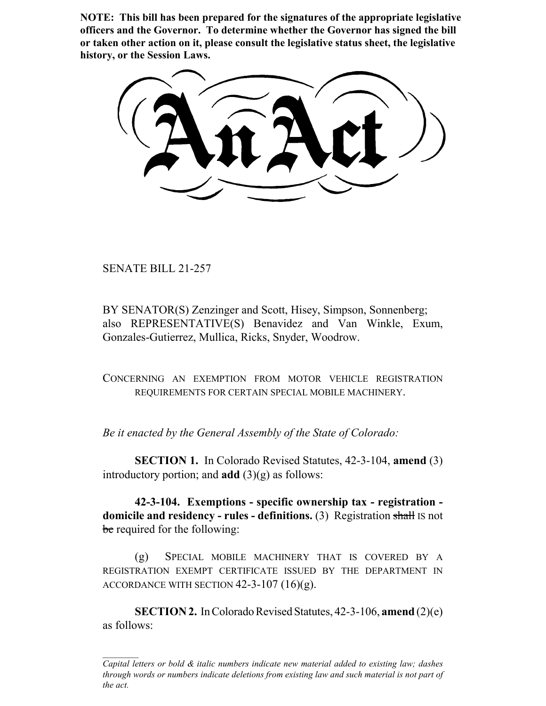**NOTE: This bill has been prepared for the signatures of the appropriate legislative officers and the Governor. To determine whether the Governor has signed the bill or taken other action on it, please consult the legislative status sheet, the legislative history, or the Session Laws.**

SENATE BILL 21-257

BY SENATOR(S) Zenzinger and Scott, Hisey, Simpson, Sonnenberg; also REPRESENTATIVE(S) Benavidez and Van Winkle, Exum, Gonzales-Gutierrez, Mullica, Ricks, Snyder, Woodrow.

CONCERNING AN EXEMPTION FROM MOTOR VEHICLE REGISTRATION REQUIREMENTS FOR CERTAIN SPECIAL MOBILE MACHINERY.

*Be it enacted by the General Assembly of the State of Colorado:*

**SECTION 1.** In Colorado Revised Statutes, 42-3-104, **amend** (3) introductory portion; and **add** (3)(g) as follows:

**42-3-104. Exemptions - specific ownership tax - registration domicile and residency - rules - definitions.** (3) Registration shall IS not be required for the following:

(g) SPECIAL MOBILE MACHINERY THAT IS COVERED BY A REGISTRATION EXEMPT CERTIFICATE ISSUED BY THE DEPARTMENT IN ACCORDANCE WITH SECTION  $42-3-107(16)(g)$ .

**SECTION 2.** In Colorado Revised Statutes, 42-3-106, **amend** (2)(e) as follows:

*Capital letters or bold & italic numbers indicate new material added to existing law; dashes through words or numbers indicate deletions from existing law and such material is not part of the act.*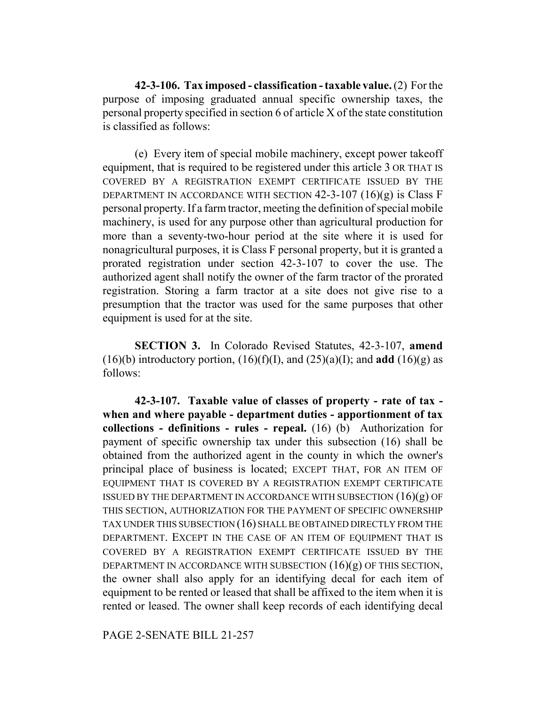**42-3-106. Tax imposed - classification - taxable value.** (2) For the purpose of imposing graduated annual specific ownership taxes, the personal property specified in section 6 of article X of the state constitution is classified as follows:

(e) Every item of special mobile machinery, except power takeoff equipment, that is required to be registered under this article 3 OR THAT IS COVERED BY A REGISTRATION EXEMPT CERTIFICATE ISSUED BY THE DEPARTMENT IN ACCORDANCE WITH SECTION  $42-3-107$   $(16)(g)$  is Class F personal property. If a farm tractor, meeting the definition of special mobile machinery, is used for any purpose other than agricultural production for more than a seventy-two-hour period at the site where it is used for nonagricultural purposes, it is Class F personal property, but it is granted a prorated registration under section 42-3-107 to cover the use. The authorized agent shall notify the owner of the farm tractor of the prorated registration. Storing a farm tractor at a site does not give rise to a presumption that the tractor was used for the same purposes that other equipment is used for at the site.

**SECTION 3.** In Colorado Revised Statutes, 42-3-107, **amend** (16)(b) introductory portion,  $(16)(f)(I)$ , and  $(25)(a)(I)$ ; and **add**  $(16)(g)$  as follows:

**42-3-107. Taxable value of classes of property - rate of tax when and where payable - department duties - apportionment of tax collections - definitions - rules - repeal.** (16) (b) Authorization for payment of specific ownership tax under this subsection (16) shall be obtained from the authorized agent in the county in which the owner's principal place of business is located; EXCEPT THAT, FOR AN ITEM OF EQUIPMENT THAT IS COVERED BY A REGISTRATION EXEMPT CERTIFICATE ISSUED BY THE DEPARTMENT IN ACCORDANCE WITH SUBSECTION  $(16)(g)$  OF THIS SECTION, AUTHORIZATION FOR THE PAYMENT OF SPECIFIC OWNERSHIP TAX UNDER THIS SUBSECTION (16) SHALL BE OBTAINED DIRECTLY FROM THE DEPARTMENT. EXCEPT IN THE CASE OF AN ITEM OF EQUIPMENT THAT IS COVERED BY A REGISTRATION EXEMPT CERTIFICATE ISSUED BY THE DEPARTMENT IN ACCORDANCE WITH SUBSECTION  $(16)(g)$  OF THIS SECTION, the owner shall also apply for an identifying decal for each item of equipment to be rented or leased that shall be affixed to the item when it is rented or leased. The owner shall keep records of each identifying decal

PAGE 2-SENATE BILL 21-257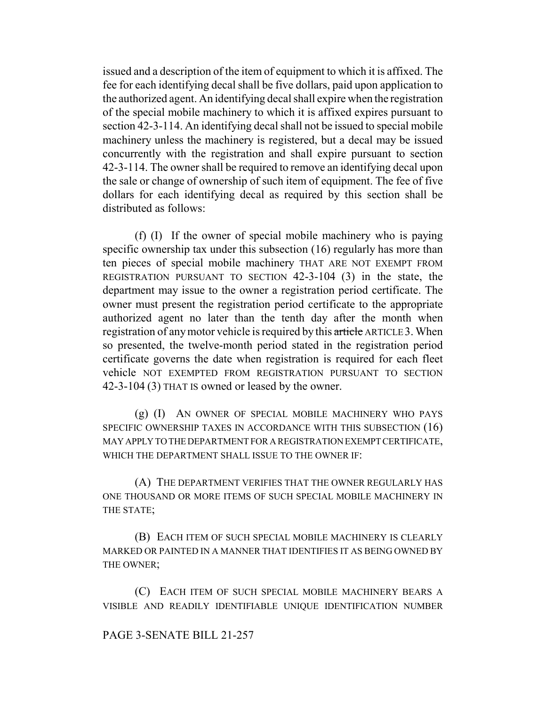issued and a description of the item of equipment to which it is affixed. The fee for each identifying decal shall be five dollars, paid upon application to the authorized agent. An identifying decal shall expire when the registration of the special mobile machinery to which it is affixed expires pursuant to section 42-3-114. An identifying decal shall not be issued to special mobile machinery unless the machinery is registered, but a decal may be issued concurrently with the registration and shall expire pursuant to section 42-3-114. The owner shall be required to remove an identifying decal upon the sale or change of ownership of such item of equipment. The fee of five dollars for each identifying decal as required by this section shall be distributed as follows:

(f) (I) If the owner of special mobile machinery who is paying specific ownership tax under this subsection (16) regularly has more than ten pieces of special mobile machinery THAT ARE NOT EXEMPT FROM REGISTRATION PURSUANT TO SECTION 42-3-104 (3) in the state, the department may issue to the owner a registration period certificate. The owner must present the registration period certificate to the appropriate authorized agent no later than the tenth day after the month when registration of any motor vehicle is required by this article ARTICLE 3. When so presented, the twelve-month period stated in the registration period certificate governs the date when registration is required for each fleet vehicle NOT EXEMPTED FROM REGISTRATION PURSUANT TO SECTION 42-3-104 (3) THAT IS owned or leased by the owner.

(g) (I) AN OWNER OF SPECIAL MOBILE MACHINERY WHO PAYS SPECIFIC OWNERSHIP TAXES IN ACCORDANCE WITH THIS SUBSECTION (16) MAY APPLY TO THE DEPARTMENT FOR A REGISTRATION EXEMPT CERTIFICATE, WHICH THE DEPARTMENT SHALL ISSUE TO THE OWNER IF:

(A) THE DEPARTMENT VERIFIES THAT THE OWNER REGULARLY HAS ONE THOUSAND OR MORE ITEMS OF SUCH SPECIAL MOBILE MACHINERY IN THE STATE;

(B) EACH ITEM OF SUCH SPECIAL MOBILE MACHINERY IS CLEARLY MARKED OR PAINTED IN A MANNER THAT IDENTIFIES IT AS BEING OWNED BY THE OWNER;

(C) EACH ITEM OF SUCH SPECIAL MOBILE MACHINERY BEARS A VISIBLE AND READILY IDENTIFIABLE UNIQUE IDENTIFICATION NUMBER

## PAGE 3-SENATE BILL 21-257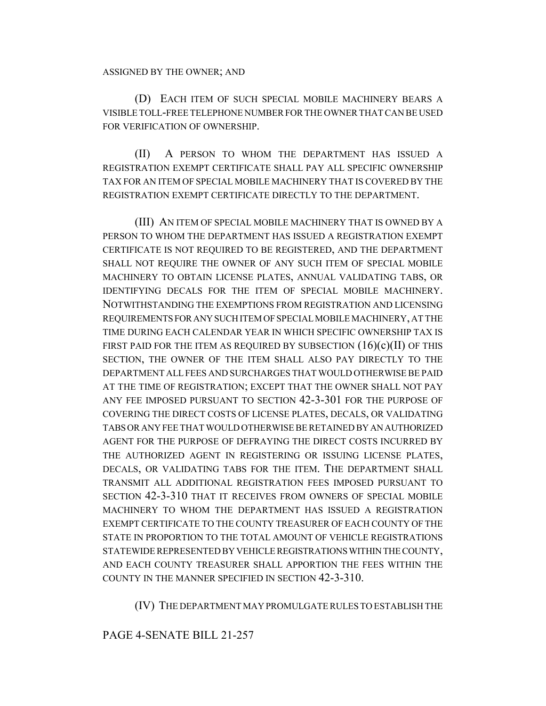(D) EACH ITEM OF SUCH SPECIAL MOBILE MACHINERY BEARS A VISIBLE TOLL-FREE TELEPHONE NUMBER FOR THE OWNER THAT CAN BE USED FOR VERIFICATION OF OWNERSHIP.

(II) A PERSON TO WHOM THE DEPARTMENT HAS ISSUED A REGISTRATION EXEMPT CERTIFICATE SHALL PAY ALL SPECIFIC OWNERSHIP TAX FOR AN ITEM OF SPECIAL MOBILE MACHINERY THAT IS COVERED BY THE REGISTRATION EXEMPT CERTIFICATE DIRECTLY TO THE DEPARTMENT.

(III) AN ITEM OF SPECIAL MOBILE MACHINERY THAT IS OWNED BY A PERSON TO WHOM THE DEPARTMENT HAS ISSUED A REGISTRATION EXEMPT CERTIFICATE IS NOT REQUIRED TO BE REGISTERED, AND THE DEPARTMENT SHALL NOT REQUIRE THE OWNER OF ANY SUCH ITEM OF SPECIAL MOBILE MACHINERY TO OBTAIN LICENSE PLATES, ANNUAL VALIDATING TABS, OR IDENTIFYING DECALS FOR THE ITEM OF SPECIAL MOBILE MACHINERY. NOTWITHSTANDING THE EXEMPTIONS FROM REGISTRATION AND LICENSING REQUIREMENTS FOR ANY SUCH ITEM OF SPECIAL MOBILE MACHINERY, AT THE TIME DURING EACH CALENDAR YEAR IN WHICH SPECIFIC OWNERSHIP TAX IS FIRST PAID FOR THE ITEM AS REQUIRED BY SUBSECTION  $(16)(c)(II)$  OF THIS SECTION, THE OWNER OF THE ITEM SHALL ALSO PAY DIRECTLY TO THE DEPARTMENT ALL FEES AND SURCHARGES THAT WOULD OTHERWISE BE PAID AT THE TIME OF REGISTRATION; EXCEPT THAT THE OWNER SHALL NOT PAY ANY FEE IMPOSED PURSUANT TO SECTION 42-3-301 FOR THE PURPOSE OF COVERING THE DIRECT COSTS OF LICENSE PLATES, DECALS, OR VALIDATING TABS OR ANY FEE THAT WOULD OTHERWISE BE RETAINED BY AN AUTHORIZED AGENT FOR THE PURPOSE OF DEFRAYING THE DIRECT COSTS INCURRED BY THE AUTHORIZED AGENT IN REGISTERING OR ISSUING LICENSE PLATES, DECALS, OR VALIDATING TABS FOR THE ITEM. THE DEPARTMENT SHALL TRANSMIT ALL ADDITIONAL REGISTRATION FEES IMPOSED PURSUANT TO SECTION 42-3-310 THAT IT RECEIVES FROM OWNERS OF SPECIAL MOBILE MACHINERY TO WHOM THE DEPARTMENT HAS ISSUED A REGISTRATION EXEMPT CERTIFICATE TO THE COUNTY TREASURER OF EACH COUNTY OF THE STATE IN PROPORTION TO THE TOTAL AMOUNT OF VEHICLE REGISTRATIONS STATEWIDE REPRESENTED BY VEHICLE REGISTRATIONS WITHIN THE COUNTY, AND EACH COUNTY TREASURER SHALL APPORTION THE FEES WITHIN THE COUNTY IN THE MANNER SPECIFIED IN SECTION 42-3-310.

(IV) THE DEPARTMENT MAY PROMULGATE RULES TO ESTABLISH THE

## PAGE 4-SENATE BILL 21-257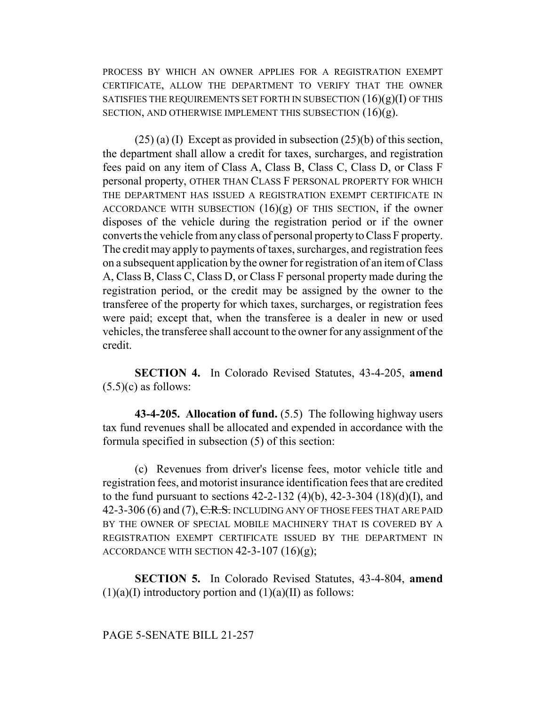PROCESS BY WHICH AN OWNER APPLIES FOR A REGISTRATION EXEMPT CERTIFICATE, ALLOW THE DEPARTMENT TO VERIFY THAT THE OWNER SATISFIES THE REQUIREMENTS SET FORTH IN SUBSECTION  $(16)(g)(I)$  OF THIS SECTION, AND OTHERWISE IMPLEMENT THIS SUBSECTION  $(16)(g)$ .

 $(25)$  (a) (I) Except as provided in subsection  $(25)$ (b) of this section, the department shall allow a credit for taxes, surcharges, and registration fees paid on any item of Class A, Class B, Class C, Class D, or Class F personal property, OTHER THAN CLASS F PERSONAL PROPERTY FOR WHICH THE DEPARTMENT HAS ISSUED A REGISTRATION EXEMPT CERTIFICATE IN ACCORDANCE WITH SUBSECTION  $(16)(g)$  OF THIS SECTION, if the owner disposes of the vehicle during the registration period or if the owner converts the vehicle from any class of personal property to Class F property. The credit may apply to payments of taxes, surcharges, and registration fees on a subsequent application by the owner for registration of an item of Class A, Class B, Class C, Class D, or Class F personal property made during the registration period, or the credit may be assigned by the owner to the transferee of the property for which taxes, surcharges, or registration fees were paid; except that, when the transferee is a dealer in new or used vehicles, the transferee shall account to the owner for any assignment of the credit.

**SECTION 4.** In Colorado Revised Statutes, 43-4-205, **amend**  $(5.5)(c)$  as follows:

**43-4-205. Allocation of fund.** (5.5) The following highway users tax fund revenues shall be allocated and expended in accordance with the formula specified in subsection (5) of this section:

(c) Revenues from driver's license fees, motor vehicle title and registration fees, and motorist insurance identification fees that are credited to the fund pursuant to sections  $42-2-132$  (4)(b),  $42-3-304$  (18)(d)(I), and 42-3-306 (6) and (7), C.R.S. INCLUDING ANY OF THOSE FEES THAT ARE PAID BY THE OWNER OF SPECIAL MOBILE MACHINERY THAT IS COVERED BY A REGISTRATION EXEMPT CERTIFICATE ISSUED BY THE DEPARTMENT IN ACCORDANCE WITH SECTION  $42-3-107$   $(16)(g)$ ;

**SECTION 5.** In Colorado Revised Statutes, 43-4-804, **amend**  $(1)(a)(I)$  introductory portion and  $(1)(a)(II)$  as follows:

PAGE 5-SENATE BILL 21-257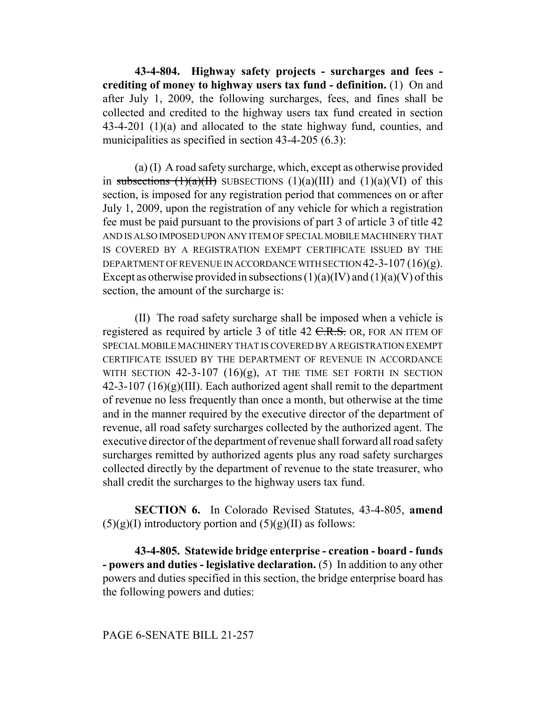**43-4-804. Highway safety projects - surcharges and fees crediting of money to highway users tax fund - definition.** (1) On and after July 1, 2009, the following surcharges, fees, and fines shall be collected and credited to the highway users tax fund created in section 43-4-201 (1)(a) and allocated to the state highway fund, counties, and municipalities as specified in section 43-4-205 (6.3):

(a) (I) A road safety surcharge, which, except as otherwise provided in subsections  $(1)(a)(H)$  SUBSECTIONS  $(1)(a)(III)$  and  $(1)(a)(VI)$  of this section, is imposed for any registration period that commences on or after July 1, 2009, upon the registration of any vehicle for which a registration fee must be paid pursuant to the provisions of part 3 of article 3 of title 42 AND IS ALSO IMPOSED UPON ANY ITEM OF SPECIAL MOBILE MACHINERY THAT IS COVERED BY A REGISTRATION EXEMPT CERTIFICATE ISSUED BY THE DEPARTMENT OF REVENUE IN ACCORDANCE WITH SECTION  $42-3-107(16)(g)$ . Except as otherwise provided in subsections  $(1)(a)(IV)$  and  $(1)(a)(V)$  of this section, the amount of the surcharge is:

(II) The road safety surcharge shall be imposed when a vehicle is registered as required by article 3 of title  $42$  C.R.S. OR, FOR AN ITEM OF SPECIAL MOBILE MACHINERY THAT IS COVERED BY A REGISTRATION EXEMPT CERTIFICATE ISSUED BY THE DEPARTMENT OF REVENUE IN ACCORDANCE WITH SECTION  $42-3-107$   $(16)(g)$ , at the time set forth in section  $42-3-107$  (16)(g)(III). Each authorized agent shall remit to the department of revenue no less frequently than once a month, but otherwise at the time and in the manner required by the executive director of the department of revenue, all road safety surcharges collected by the authorized agent. The executive director of the department of revenue shall forward all road safety surcharges remitted by authorized agents plus any road safety surcharges collected directly by the department of revenue to the state treasurer, who shall credit the surcharges to the highway users tax fund.

**SECTION 6.** In Colorado Revised Statutes, 43-4-805, **amend**  $(5)(g)(I)$  introductory portion and  $(5)(g)(II)$  as follows:

**43-4-805. Statewide bridge enterprise - creation - board - funds - powers and duties - legislative declaration.** (5) In addition to any other powers and duties specified in this section, the bridge enterprise board has the following powers and duties:

PAGE 6-SENATE BILL 21-257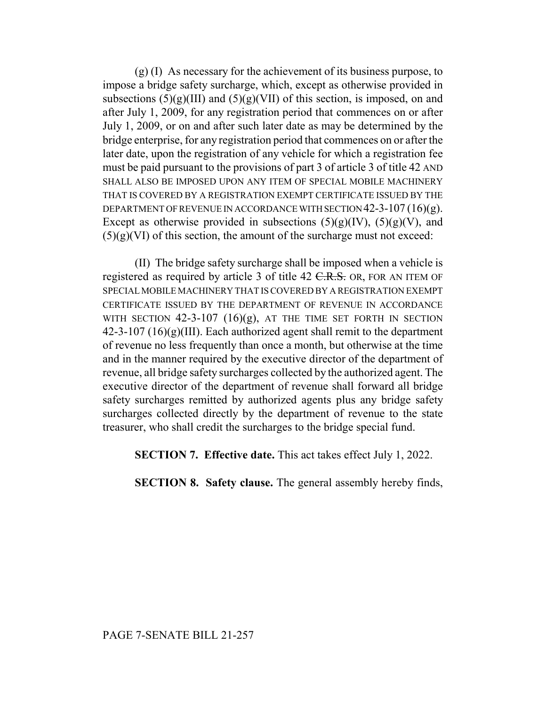$(g)$  (I) As necessary for the achievement of its business purpose, to impose a bridge safety surcharge, which, except as otherwise provided in subsections  $(5)(g)(III)$  and  $(5)(g)(VII)$  of this section, is imposed, on and after July 1, 2009, for any registration period that commences on or after July 1, 2009, or on and after such later date as may be determined by the bridge enterprise, for any registration period that commences on or after the later date, upon the registration of any vehicle for which a registration fee must be paid pursuant to the provisions of part 3 of article 3 of title 42 AND SHALL ALSO BE IMPOSED UPON ANY ITEM OF SPECIAL MOBILE MACHINERY THAT IS COVERED BY A REGISTRATION EXEMPT CERTIFICATE ISSUED BY THE DEPARTMENT OF REVENUE IN ACCORDANCE WITH SECTION  $42-3-107(16)(g)$ . Except as otherwise provided in subsections  $(5)(g)(IV)$ ,  $(5)(g)(V)$ , and  $(5)(g)(VI)$  of this section, the amount of the surcharge must not exceed:

(II) The bridge safety surcharge shall be imposed when a vehicle is registered as required by article 3 of title 42 C.R.S. OR, FOR AN ITEM OF SPECIAL MOBILE MACHINERY THAT IS COVERED BY A REGISTRATION EXEMPT CERTIFICATE ISSUED BY THE DEPARTMENT OF REVENUE IN ACCORDANCE WITH SECTION  $42-3-107$   $(16)(g)$ , at the time set forth in section  $42-3-107$  (16)(g)(III). Each authorized agent shall remit to the department of revenue no less frequently than once a month, but otherwise at the time and in the manner required by the executive director of the department of revenue, all bridge safety surcharges collected by the authorized agent. The executive director of the department of revenue shall forward all bridge safety surcharges remitted by authorized agents plus any bridge safety surcharges collected directly by the department of revenue to the state treasurer, who shall credit the surcharges to the bridge special fund.

**SECTION 7. Effective date.** This act takes effect July 1, 2022.

**SECTION 8. Safety clause.** The general assembly hereby finds,